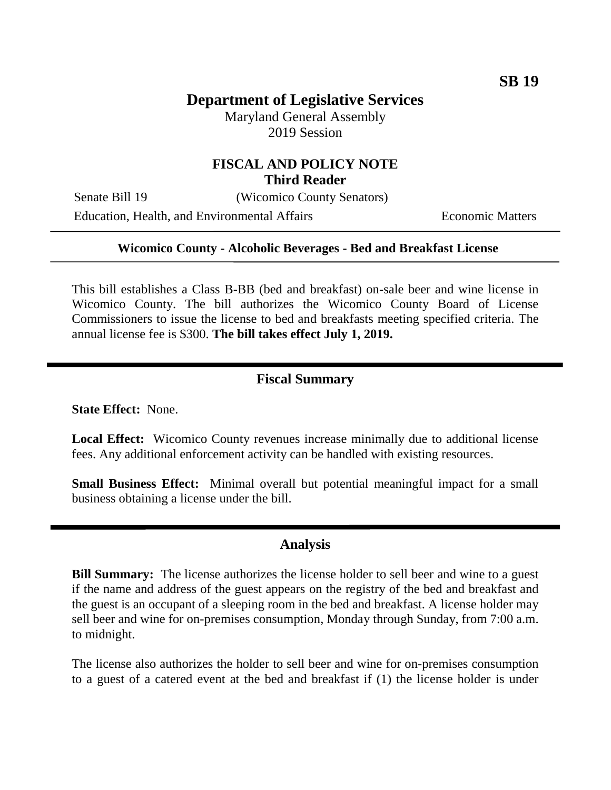# **Department of Legislative Services**

Maryland General Assembly 2019 Session

## **FISCAL AND POLICY NOTE Third Reader**

Senate Bill 19 (Wicomico County Senators)

Education, Health, and Environmental Affairs Economic Matters

### **Wicomico County - Alcoholic Beverages - Bed and Breakfast License**

This bill establishes a Class B-BB (bed and breakfast) on-sale beer and wine license in Wicomico County. The bill authorizes the Wicomico County Board of License Commissioners to issue the license to bed and breakfasts meeting specified criteria. The annual license fee is \$300. **The bill takes effect July 1, 2019.**

#### **Fiscal Summary**

**State Effect:** None.

**Local Effect:** Wicomico County revenues increase minimally due to additional license fees. Any additional enforcement activity can be handled with existing resources.

**Small Business Effect:** Minimal overall but potential meaningful impact for a small business obtaining a license under the bill.

## **Analysis**

**Bill Summary:** The license authorizes the license holder to sell beer and wine to a guest if the name and address of the guest appears on the registry of the bed and breakfast and the guest is an occupant of a sleeping room in the bed and breakfast. A license holder may sell beer and wine for on-premises consumption, Monday through Sunday, from 7:00 a.m. to midnight.

The license also authorizes the holder to sell beer and wine for on-premises consumption to a guest of a catered event at the bed and breakfast if (1) the license holder is under